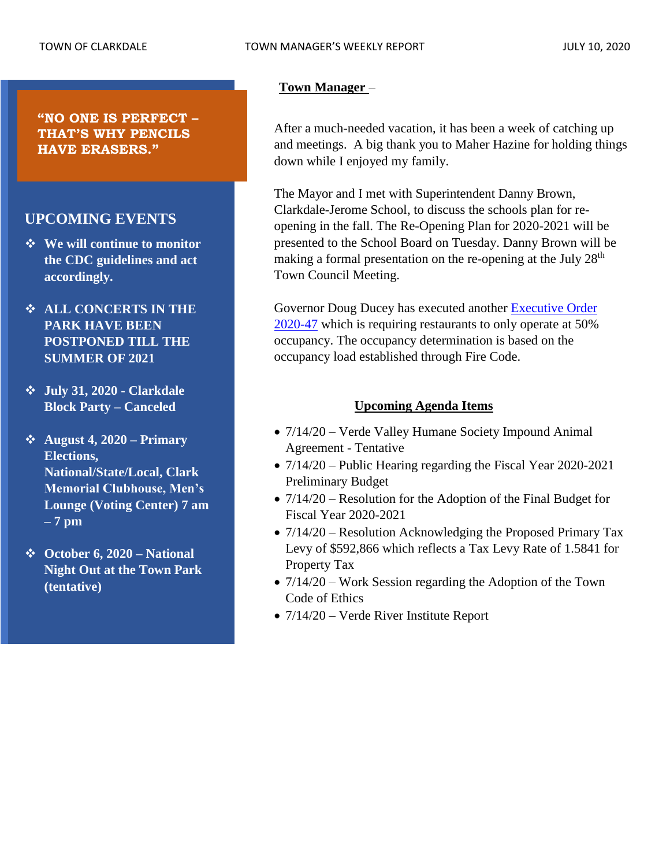#### **Town Manager** –

After a much-needed vacation, it has been a week of catching up and meetings. A big thank you to Maher Hazine for holding things down while I enjoyed my family.

The Mayor and I met with Superintendent Danny Brown, Clarkdale-Jerome School, to discuss the schools plan for reopening in the fall. The Re-Opening Plan for 2020-2021 will be presented to the School Board on Tuesday. Danny Brown will be making a formal presentation on the re-opening at the July 28<sup>th</sup> Town Council Meeting.

Governor Doug Ducey has executed another [Executive Order](https://files.constantcontact.com/97d73f18001/4854d083-8b59-441e-b02a-682737c55dd1.pdf)  [2020-47](https://files.constantcontact.com/97d73f18001/4854d083-8b59-441e-b02a-682737c55dd1.pdf) which is requiring restaurants to only operate at 50% occupancy. The occupancy determination is based on the occupancy load established through Fire Code.

### **Upcoming Agenda Items**

- $7/14/20$  Verde Valley Humane Society Impound Animal Agreement - Tentative
- 7/14/20 Public Hearing regarding the Fiscal Year 2020-2021 Preliminary Budget
- 7/14/20 Resolution for the Adoption of the Final Budget for Fiscal Year 2020-2021
- 7/14/20 Resolution Acknowledging the Proposed Primary Tax Levy of \$592,866 which reflects a Tax Levy Rate of 1.5841 for Property Tax
- 7/14/20 Work Session regarding the Adoption of the Town Code of Ethics
- $7/14/20$  Verde River Institute Report

**"NO ONE IS PERFECT – THAT'S WHY PENCILS HAVE ERASERS."**

# **UPCOMING EVENTS**

- ❖ **We will continue to monitor the CDC guidelines and act accordingly.**
- ❖ **ALL CONCERTS IN THE PARK HAVE BEEN POSTPONED TILL THE SUMMER OF 2021**
- ❖ **July 31, 2020 - Clarkdale Block Party – Canceled**
- ❖ **August 4, 2020 – Primary Elections, National/State/Local, Clark Memorial Clubhouse, Men's Lounge (Voting Center) 7 am – 7 pm**
- ❖ **October 6, 2020 – National Night Out at the Town Park (tentative)**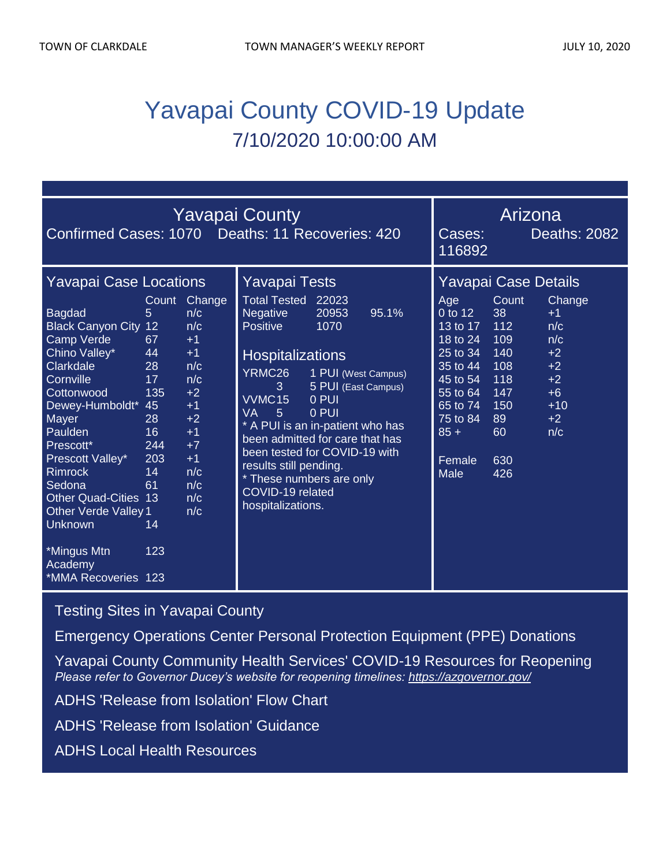# Yavapai County COVID-19 Update 7/10/2020 10:00:00 AM

| <b>Yavapai County</b><br>Confirmed Cases: 1070 Deaths: 11 Recoveries: 420                                                                                                                                                                                                                                                                                                                                                                                                                                                                                                                           |  |  |                                                                                                                                                                                                                                                                                                                                                                                                                                                                 |                                                                                                                                                   | Arizona<br>116892                                                                                                     | Deaths: 2082                                                                         |
|-----------------------------------------------------------------------------------------------------------------------------------------------------------------------------------------------------------------------------------------------------------------------------------------------------------------------------------------------------------------------------------------------------------------------------------------------------------------------------------------------------------------------------------------------------------------------------------------------------|--|--|-----------------------------------------------------------------------------------------------------------------------------------------------------------------------------------------------------------------------------------------------------------------------------------------------------------------------------------------------------------------------------------------------------------------------------------------------------------------|---------------------------------------------------------------------------------------------------------------------------------------------------|-----------------------------------------------------------------------------------------------------------------------|--------------------------------------------------------------------------------------|
| <b>Yavapai Case Locations</b><br>Change<br>Count<br>5<br><b>Bagdad</b><br>n/c<br><b>Black Canyon City 12</b><br>n/c<br>Camp Verde<br>67<br>$+1$<br>Chino Valley*<br>44<br>$+1$<br>Clarkdale<br>n/c<br>28<br>n/c<br>Cornville<br>17<br>135<br>$+2$<br>Cottonwood<br>Dewey-Humboldt*<br>45<br>$+1$<br>$+2$<br>Mayer<br>28<br>Paulden<br>16<br>$+1$<br>244<br>$+7$<br>Prescott*<br>203<br>$+1$<br>Prescott Valley*<br><b>Rimrock</b><br>n/c<br>14<br>n/c<br>Sedona<br>61<br><b>Other Quad-Cities 13</b><br>n/c<br>n/c<br><b>Other Verde Valley 1</b><br>Unknown<br>14<br>*Mingus Mtn<br>123<br>Academy |  |  | <b>Yavapai Tests</b><br><b>Total Tested</b><br>22023<br>20953<br>95.1%<br><b>Negative</b><br><b>Positive</b><br>1070<br><b>Hospitalizations</b><br>YRMC26<br>1 PUI (West Campus)<br>5 PUI (East Campus)<br>3<br>VVMC15<br>0 PUI<br>0 PUI<br><b>VA</b><br>5<br>A PUI is an in-patient who has<br>been admitted for care that has<br>been tested for COVID-19 with<br>results still pending.<br>* These numbers are only<br>COVID-19 related<br>hospitalizations. | Age<br>0 to 12<br>13 to 17<br>18 to 24<br>25 to 34<br>35 to 44<br>45 to 54<br>55 to 64<br>65 to 74<br>75 to 84<br>$85 +$<br>Female<br><b>Male</b> | <b>Yavapai Case Details</b><br>Count<br>38<br>112<br>109<br>140<br>108<br>118<br>147<br>150<br>89<br>60<br>630<br>426 | Change<br>$+1$<br>n/c<br>n/c<br>$+2$<br>$+2$<br>$+2$<br>$+6$<br>$+10$<br>$+2$<br>n/c |

[Testing Sites in Yavapai County](https://www.yavapai.us/Portals/39/COVID-19/TestingSitesinYavapaiCounty.pdf)

[Emergency Operations Center Personal Protection Equipment \(PPE\) Donations](http://www.yavapai.us/Portals/39/PPE%20Donations.pdf)

[Yavapai County Community Health Services' COVID-19 Resources for Reopening](https://www.yavapai.us/chs/COVID-19) *Please refer to Governor Ducey's website for reopening timelines: <https://azgovernor.gov/>*

[ADHS 'Release from Isolation' Flow Chart](https://www.azdhs.gov/documents/preparedness/epidemiology-disease-control/infectious-disease-epidemiology/novel-coronavirus/local-health-resources/release-from-isolation-flow-chart.pdf)

[ADHS 'Release from Isolation' Guidance](https://www.azdhs.gov/documents/preparedness/epidemiology-disease-control/infectious-disease-epidemiology/novel-coronavirus/public-resources/release-from-isolation.pdf)

[ADHS Local Health Resources](https://www.azdhs.gov/preparedness/epidemiology-disease-control/infectious-disease-epidemiology/index.php#novel-coronavirus-local-health-resources)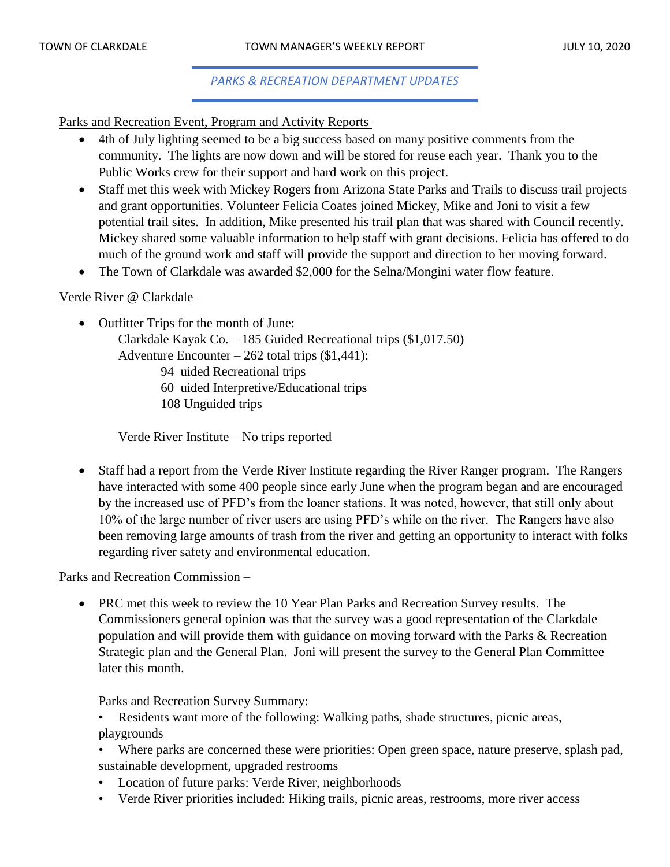#### *PARKS & RECREATION DEPARTMENT UPDATES*

Parks and Recreation Event, Program and Activity Reports –

- 4th of July lighting seemed to be a big success based on many positive comments from the community. The lights are now down and will be stored for reuse each year. Thank you to the Public Works crew for their support and hard work on this project.
- Staff met this week with Mickey Rogers from Arizona State Parks and Trails to discuss trail projects and grant opportunities. Volunteer Felicia Coates joined Mickey, Mike and Joni to visit a few potential trail sites. In addition, Mike presented his trail plan that was shared with Council recently. Mickey shared some valuable information to help staff with grant decisions. Felicia has offered to do much of the ground work and staff will provide the support and direction to her moving forward.
- The Town of Clarkdale was awarded \$2,000 for the Selna/Mongini water flow feature.

#### Verde River @ Clarkdale –

- Outfitter Trips for the month of June:
	- Clarkdale Kayak Co. 185 Guided Recreational trips (\$1,017.50) Adventure Encounter  $-262$  total trips  $$1,441$ :
		- 94 uided Recreational trips
		- 60 uided Interpretive/Educational trips
		- 108 Unguided trips

Verde River Institute – No trips reported

• Staff had a report from the Verde River Institute regarding the River Ranger program. The Rangers have interacted with some 400 people since early June when the program began and are encouraged by the increased use of PFD's from the loaner stations. It was noted, however, that still only about 10% of the large number of river users are using PFD's while on the river. The Rangers have also been removing large amounts of trash from the river and getting an opportunity to interact with folks regarding river safety and environmental education.

#### Parks and Recreation Commission –

• PRC met this week to review the 10 Year Plan Parks and Recreation Survey results. The Commissioners general opinion was that the survey was a good representation of the Clarkdale population and will provide them with guidance on moving forward with the Parks & Recreation Strategic plan and the General Plan. Joni will present the survey to the General Plan Committee later this month.

Parks and Recreation Survey Summary:

- Residents want more of the following: Walking paths, shade structures, picnic areas, playgrounds
- Where parks are concerned these were priorities: Open green space, nature preserve, splash pad, sustainable development, upgraded restrooms
- Location of future parks: Verde River, neighborhoods
- Verde River priorities included: Hiking trails, picnic areas, restrooms, more river access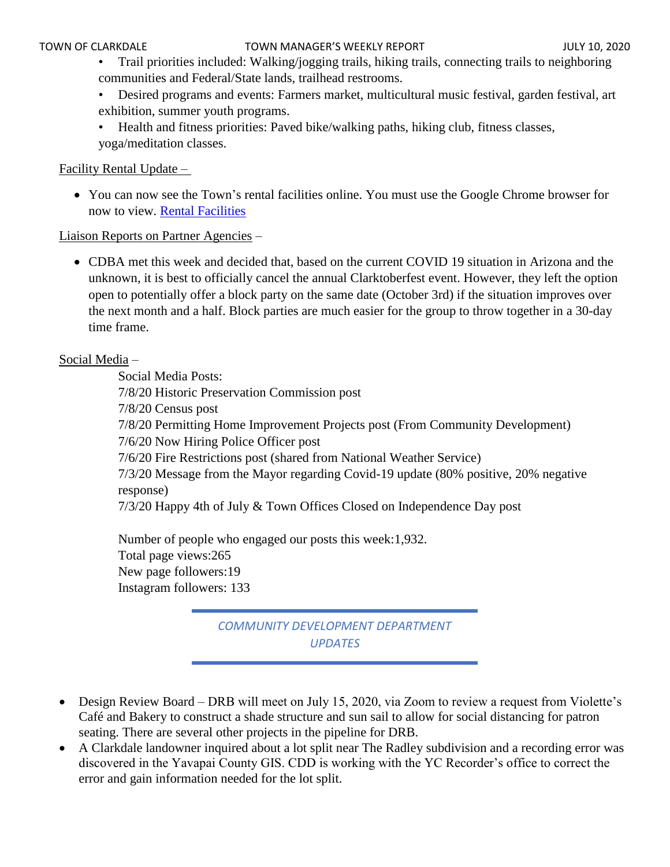- Trail priorities included: Walking/jogging trails, hiking trails, connecting trails to neighboring communities and Federal/State lands, trailhead restrooms.
- Desired programs and events: Farmers market, multicultural music festival, garden festival, art exhibition, summer youth programs.
- Health and fitness priorities: Paved bike/walking paths, hiking club, fitness classes, yoga/meditation classes.

### Facility Rental Update –

• You can now see the Town's rental facilities online. You must use the Google Chrome browser for now to view. [Rental Facilities](https://www.clarkdale.az.gov/your_government/community_services/facility_rentals.php)

## Liaison Reports on Partner Agencies –

• CDBA met this week and decided that, based on the current COVID 19 situation in Arizona and the unknown, it is best to officially cancel the annual Clarktoberfest event. However, they left the option open to potentially offer a block party on the same date (October 3rd) if the situation improves over the next month and a half. Block parties are much easier for the group to throw together in a 30-day time frame.

## Social Media –

Social Media Posts: 7/8/20 Historic Preservation Commission post 7/8/20 Census post 7/8/20 Permitting Home Improvement Projects post (From Community Development) 7/6/20 Now Hiring Police Officer post 7/6/20 Fire Restrictions post (shared from National Weather Service) 7/3/20 Message from the Mayor regarding Covid-19 update (80% positive, 20% negative response) 7/3/20 Happy 4th of July & Town Offices Closed on Independence Day post

Number of people who engaged our posts this week:1,932. Total page views:265 New page followers:19 Instagram followers: 133

# *COMMUNITY DEVELOPMENT DEPARTMENT UPDATES*

- Design Review Board DRB will meet on July 15, 2020, via Zoom to review a request from Violette's Café and Bakery to construct a shade structure and sun sail to allow for social distancing for patron seating. There are several other projects in the pipeline for DRB.
- A Clarkdale landowner inquired about a lot split near The Radley subdivision and a recording error was discovered in the Yavapai County GIS. CDD is working with the YC Recorder's office to correct the error and gain information needed for the lot split.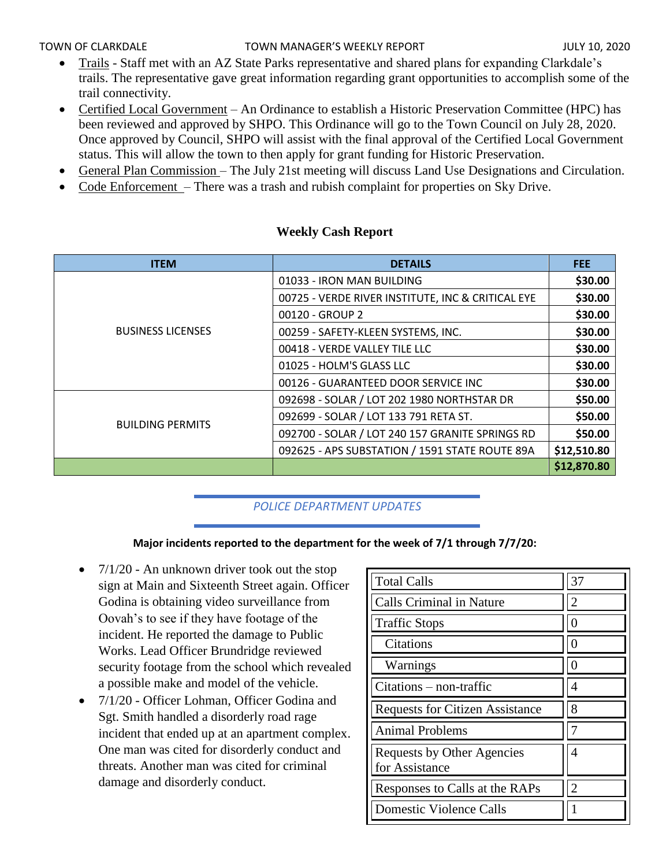#### TOWN OF CLARKDALE TOWN MANAGER'S WEEKLY REPORT TOWN OF CLARKDALE

- Trails Staff met with an AZ State Parks representative and shared plans for expanding Clarkdale's trails. The representative gave great information regarding grant opportunities to accomplish some of the trail connectivity.
- Certified Local Government An Ordinance to establish a Historic Preservation Committee (HPC) has been reviewed and approved by SHPO. This Ordinance will go to the Town Council on July 28, 2020. Once approved by Council, SHPO will assist with the final approval of the Certified Local Government status. This will allow the town to then apply for grant funding for Historic Preservation.
- General Plan Commission The July 21st meeting will discuss Land Use Designations and Circulation.
- Code Enforcement There was a trash and rubish complaint for properties on Sky Drive.

| <b>ITEM</b>              | <b>DETAILS</b>                                    | <b>FEE</b>  |
|--------------------------|---------------------------------------------------|-------------|
|                          | 01033 - IRON MAN BUILDING                         | \$30.00     |
|                          | 00725 - VERDE RIVER INSTITUTE, INC & CRITICAL EYE | \$30.00     |
|                          | 00120 - GROUP 2                                   | \$30.00     |
| <b>BUSINESS LICENSES</b> | 00259 - SAFETY-KLEEN SYSTEMS, INC.                | \$30.00     |
|                          | 00418 - VERDE VALLEY TILE LLC                     | \$30.00     |
|                          | 01025 - HOLM'S GLASS LLC                          | \$30.00     |
|                          | 00126 - GUARANTEED DOOR SERVICE INC               | \$30.00     |
|                          | 092698 - SOLAR / LOT 202 1980 NORTHSTAR DR        | \$50.00     |
| <b>BUILDING PERMITS</b>  | 092699 - SOLAR / LOT 133 791 RETA ST.             | \$50.00     |
|                          | 092700 - SOLAR / LOT 240 157 GRANITE SPRINGS RD   | \$50.00     |
|                          | 092625 - APS SUBSTATION / 1591 STATE ROUTE 89A    | \$12,510.80 |
|                          |                                                   | \$12,870.80 |

# **Weekly Cash Report**

# *POLICE DEPARTMENT UPDATES*

## **Major incidents reported to the department for the week of 7/1 through 7/7/20:**

- $7/1/20$  An unknown driver took out the stop sign at Main and Sixteenth Street again. Officer Godina is obtaining video surveillance from Oovah's to see if they have footage of the incident. He reported the damage to Public Works. Lead Officer Brundridge reviewed security footage from the school which revealed a possible make and model of the vehicle.
- 7/1/20 Officer Lohman, Officer Godina and Sgt. Smith handled a disorderly road rage incident that ended up at an apartment complex. One man was cited for disorderly conduct and threats. Another man was cited for criminal damage and disorderly conduct.

| <b>Total Calls</b>                           | 37 |
|----------------------------------------------|----|
| <b>Calls Criminal in Nature</b>              | 2  |
| <b>Traffic Stops</b>                         |    |
| Citations                                    |    |
| Warnings                                     |    |
| Citations - non-traffic                      |    |
| <b>Requests for Citizen Assistance</b>       | 8  |
| <b>Animal Problems</b>                       |    |
| Requests by Other Agencies<br>for Assistance | 4  |
| Responses to Calls at the RAPs               | 2  |
| <b>Domestic Violence Calls</b>               |    |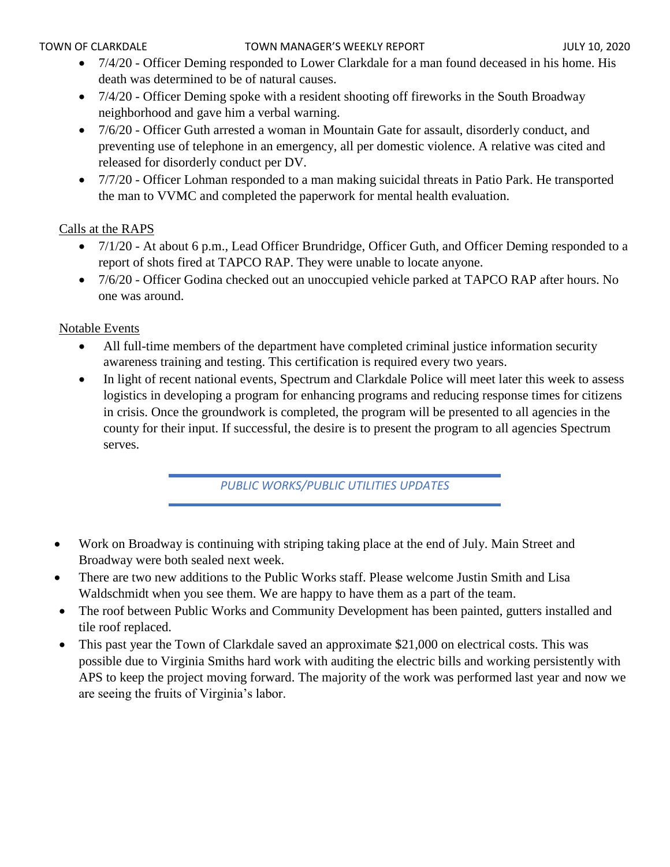- 7/4/20 Officer Deming responded to Lower Clarkdale for a man found deceased in his home. His death was determined to be of natural causes.
- 7/4/20 Officer Deming spoke with a resident shooting off fireworks in the South Broadway neighborhood and gave him a verbal warning.
- 7/6/20 Officer Guth arrested a woman in Mountain Gate for assault, disorderly conduct, and preventing use of telephone in an emergency, all per domestic violence. A relative was cited and released for disorderly conduct per DV.
- 7/7/20 Officer Lohman responded to a man making suicidal threats in Patio Park. He transported the man to VVMC and completed the paperwork for mental health evaluation.

# Calls at the RAPS

- 7/1/20 At about 6 p.m., Lead Officer Brundridge, Officer Guth, and Officer Deming responded to a report of shots fired at TAPCO RAP. They were unable to locate anyone.
- 7/6/20 Officer Godina checked out an unoccupied vehicle parked at TAPCO RAP after hours. No one was around.

## Notable Events

- All full-time members of the department have completed criminal justice information security awareness training and testing. This certification is required every two years.
- In light of recent national events, Spectrum and Clarkdale Police will meet later this week to assess logistics in developing a program for enhancing programs and reducing response times for citizens in crisis. Once the groundwork is completed, the program will be presented to all agencies in the county for their input. If successful, the desire is to present the program to all agencies Spectrum serves.

*PUBLIC WORKS/PUBLIC UTILITIES UPDATES*

- Work on Broadway is continuing with striping taking place at the end of July. Main Street and Broadway were both sealed next week.
- There are two new additions to the Public Works staff. Please welcome Justin Smith and Lisa Waldschmidt when you see them. We are happy to have them as a part of the team.
- The roof between Public Works and Community Development has been painted, gutters installed and tile roof replaced.
- This past year the Town of Clarkdale saved an approximate \$21,000 on electrical costs. This was possible due to Virginia Smiths hard work with auditing the electric bills and working persistently with APS to keep the project moving forward. The majority of the work was performed last year and now we are seeing the fruits of Virginia's labor.